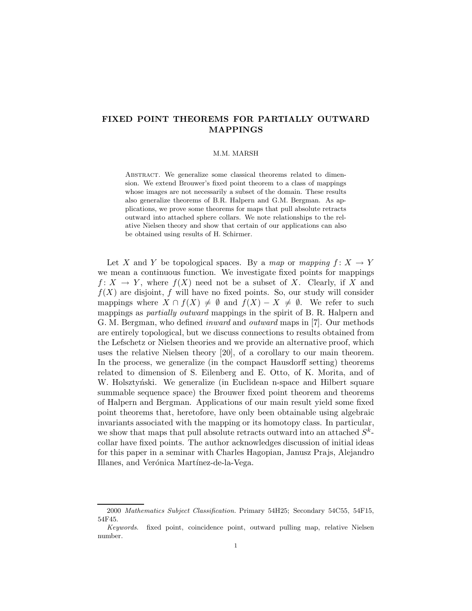# FIXED POINT THEOREMS FOR PARTIALLY OUTWARD MAPPINGS

# M.M. MARSH

ABSTRACT. We generalize some classical theorems related to dimension. We extend Brouwer's fixed point theorem to a class of mappings whose images are not necessarily a subset of the domain. These results also generalize theorems of B.R. Halpern and G.M. Bergman. As applications, we prove some theorems for maps that pull absolute retracts outward into attached sphere collars. We note relationships to the relative Nielsen theory and show that certain of our applications can also be obtained using results of H. Schirmer.

Let X and Y be topological spaces. By a map or mapping  $f: X \to Y$ we mean a continuous function. We investigate fixed points for mappings  $f: X \to Y$ , where  $f(X)$  need not be a subset of X. Clearly, if X and  $f(X)$  are disjoint, f will have no fixed points. So, our study will consider mappings where  $X \cap f(X) \neq \emptyset$  and  $f(X) - X \neq \emptyset$ . We refer to such mappings as partially outward mappings in the spirit of B. R. Halpern and G. M. Bergman, who defined inward and outward maps in [7]. Our methods are entirely topological, but we discuss connections to results obtained from the Lefschetz or Nielsen theories and we provide an alternative proof, which uses the relative Nielsen theory [20], of a corollary to our main theorem. In the process, we generalize (in the compact Hausdorff setting) theorems related to dimension of S. Eilenberg and E. Otto, of K. Morita, and of W. Holsztyński. We generalize (in Euclidean n-space and Hilbert square summable sequence space) the Brouwer fixed point theorem and theorems of Halpern and Bergman. Applications of our main result yield some fixed point theorems that, heretofore, have only been obtainable using algebraic invariants associated with the mapping or its homotopy class. In particular, we show that maps that pull absolute retracts outward into an attached  $S^k$ collar have fixed points. The author acknowledges discussion of initial ideas for this paper in a seminar with Charles Hagopian, Janusz Prajs, Alejandro Illanes, and Verónica Martínez-de-la-Vega.

<sup>2000</sup> Mathematics Subject Classification. Primary 54H25; Secondary 54C55, 54F15, 54F45.

Keywords. fixed point, coincidence point, outward pulling map, relative Nielsen number.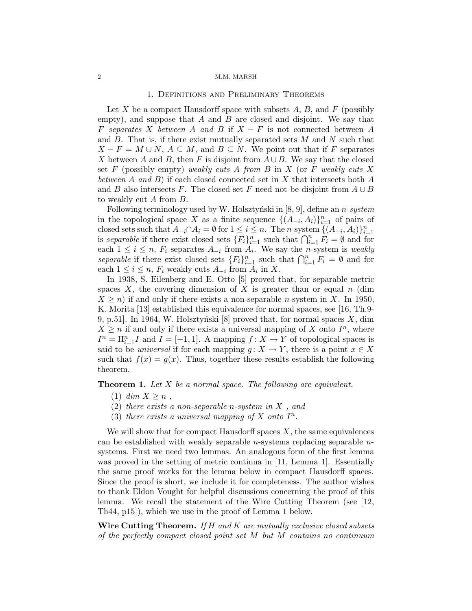# 1. Definitions and Preliminary Theorems

Let  $X$  be a compact Hausdorff space with subsets  $A, B$ , and  $F$  (possibly empty), and suppose that  $A$  and  $B$  are closed and disjoint. We say that F separates X between A and B if  $X - F$  is not connected between A and  $B$ . That is, if there exist mutually separated sets  $M$  and  $N$  such that  $X - F = M \cup N$ ,  $A \subseteq M$ , and  $B \subseteq N$ . We point out that if F separates X between A and B, then F is disjoint from  $A \cup B$ . We say that the closed set  $F$  (possibly empty) weakly cuts  $A$  from  $B$  in  $X$  (or  $F$  weakly cuts  $X$ between A and B) if each closed connected set in X that intersects both  $A$ and B also intersects F. The closed set F need not be disjoint from  $A \cup B$ to weakly cut A from B.

Following terminology used by W. Holsztyński in  $[8, 9]$ , define an n-system in the topological space X as a finite sequence  $\{(A_{-i}, A_i)\}_{i=1}^n$  of pairs of closed sets such that  $A_{-i} \cap A_i = \emptyset$  for  $1 \leq i \leq n$ . The *n*-system  $\{(\overline{A}_{-i}, A_i)\}_{i=1}^n$ is separable if there exist closed sets  ${F_i}_{i=1}^n$  such that  $\bigcap_{i=1}^n F_i = \emptyset$  and for each  $1 \leq i \leq n$ ,  $F_i$  separates  $A_{-i}$  from  $A_i$ . We say the *n*-system is *weakly* separable if there exist closed sets  ${F_i}_{i=1}^n$  such that  $\bigcap_{i=1}^n F_i = \emptyset$  and for each  $1 \leq i \leq n$ ,  $F_i$  weakly cuts  $A_{-i}$  from  $A_i$  in X.

In 1938, S. Eilenberg and E. Otto [5] proved that, for separable metric spaces  $X$ , the covering dimension of  $X$  is greater than or equal  $n$  (dim  $X \geq n$ ) if and only if there exists a non-separable *n*-system in X. In 1950, K. Morita [13] established this equivalence for normal spaces, see [16, Th.9- 9, p.51. In 1964, W. Holsztyński [8] proved that, for normal spaces  $X$ , dim  $X \geq n$  if and only if there exists a universal mapping of X onto  $I^n$ , where  $I^n = \prod_{i=1}^n I$  and  $I = [-1, 1]$ . A mapping  $f: X \to Y$  of topological spaces is said to be *universal* if for each mapping  $g: X \to Y$ , there is a point  $x \in X$ such that  $f(x) = g(x)$ . Thus, together these results establish the following theorem.

**Theorem 1.** Let  $X$  be a normal space. The following are equivalent.

- (1) dim  $X > n$ ,
- (2) there exists a non-separable n-system in  $X$ , and
- (3) there exists a universal mapping of  $X$  onto  $I^n$ .

We will show that for compact Hausdorff spaces  $X$ , the same equivalences can be established with weakly separable n-systems replacing separable nsystems. First we need two lemmas. An analogous form of the first lemma was proved in the setting of metric continua in [11, Lemma 1]. Essentially the same proof works for the lemma below in compact Hausdorff spaces. Since the proof is short, we include it for completeness. The author wishes to thank Eldon Vought for helpful discussions concerning the proof of this lemma. We recall the statement of the Wire Cutting Theorem (see [12, Th44, p15]), which we use in the proof of Lemma 1 below.

Wire Cutting Theorem. If  $H$  and  $K$  are mutually exclusive closed subsets of the perfectly compact closed point set M but M contains no continuum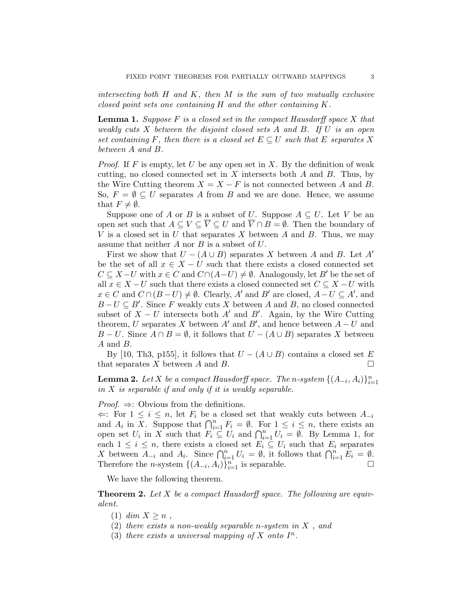intersecting both  $H$  and  $K$ , then  $M$  is the sum of two mutually exclusive closed point sets one containing H and the other containing K.

**Lemma 1.** Suppose  $F$  is a closed set in the compact Hausdorff space  $X$  that weakly cuts  $X$  between the disjoint closed sets  $A$  and  $B$ . If  $U$  is an open set containing F, then there is a closed set  $E \subseteq U$  such that E separates X between A and B.

*Proof.* If F is empty, let U be any open set in X. By the definition of weak cutting, no closed connected set in  $X$  intersects both  $A$  and  $B$ . Thus, by the Wire Cutting theorem  $X = X - F$  is not connected between A and B. So,  $F = \emptyset \subseteq U$  separates A from B and we are done. Hence, we assume that  $F \neq \emptyset$ .

Suppose one of A or B is a subset of U. Suppose  $A \subseteq U$ . Let V be an open set such that  $A \subseteq V \subseteq \overline{V} \subseteq U$  and  $\overline{V} \cap B = \emptyset$ . Then the boundary of V is a closed set in U that separates X between A and B. Thus, we may assume that neither  $A$  nor  $B$  is a subset of  $U$ .

First we show that  $U - (A \cup B)$  separates X between A and B. Let A' be the set of all  $x \in X - U$  such that there exists a closed connected set  $C \subseteq X-U$  with  $x \in C$  and  $C \cap (A-U) \neq \emptyset$ . Analogously, let B' be the set of all  $x \in X - U$  such that there exists a closed connected set  $C \subseteq X - U$  with  $x \in C$  and  $C \cap (B-U) \neq \emptyset$ . Clearly, A' and B' are closed,  $A-U \subseteq A'$ , and  $B-U\subseteq B'$ . Since F weakly cuts X between A and B, no closed connected subset of  $X - U$  intersects both A' and B'. Again, by the Wire Cutting theorem, U separates X between  $A'$  and  $B'$ , and hence between  $A - U$  and  $B-U$ . Since  $A \cap B = \emptyset$ , it follows that  $U - (A \cup B)$  separates X between A and B.

By [10, Th3, p155], it follows that  $U - (A \cup B)$  contains a closed set E that separates X between A and B.

**Lemma 2.** Let X be a compact Hausdorff space. The n-system  $\{(A_{-i}, A_i)\}_{i=1}^n$ in  $X$  is separable if and only if it is weakly separable.

*Proof.*  $\Rightarrow$ : Obvious from the definitions.

 $\Leftarrow$ : For  $1 \leq i \leq n$ , let  $F_i$  be a closed set that weakly cuts between  $A_{-i}$ and  $A_i$  in X. Suppose that  $\bigcap_{i=1}^n F_i = \emptyset$ . For  $1 \leq i \leq n$ , there exists an open set  $U_i$  in X such that  $F_i \subseteq U_i$  and  $\bigcap_{i=1}^n U_i = \emptyset$ . By Lemma 1, for each  $1 \leq i \leq n$ , there exists a closed set  $E_i \subseteq U_i$  such that  $E_i$  separates X between  $A_{-i}$  and  $A_i$ . Since  $\bigcap_{i=1}^n U_i = \emptyset$ , it follows that  $\bigcap_{i=1}^n E_i = \emptyset$ . Therefore the *n*-system  $\{(A_{-i}, A_i)\}_{i=1}^n$  is separable.

We have the following theorem.

**Theorem 2.** Let  $X$  be a compact Hausdorff space. The following are equivalent.

- $(1)$  dim  $X \geq n$ ,
- (2) there exists a non-weakly separable n-system in  $X$ , and
- (3) there exists a universal mapping of X onto  $I^n$ .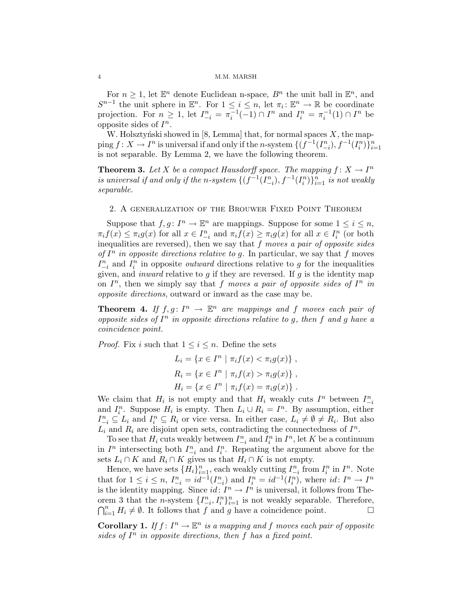For  $n \geq 1$ , let  $\mathbb{E}^n$  denote Euclidean n-space,  $B^n$  the unit ball in  $\mathbb{E}^n$ , and  $S^{n-1}$  the unit sphere in  $\mathbb{E}^n$ . For  $1 \leq i \leq n$ , let  $\pi_i: \mathbb{E}^n \to \mathbb{R}$  be coordinate projection. For  $n \geq 1$ , let  $I_{-i}^n = \pi_i^{-1}(-1) \cap I^n$  and  $I_i^n = \pi_i^{-1}(1) \cap I^n$  be opposite sides of  $I^n$ .

W. Holsztyński showed in [8, Lemma] that, for normal spaces  $X$ , the mapping  $f: X \to I^n$  is universal if and only if the *n*-system  $\{(f^{-1}(I^n_{-i}), f^{-1}(I^n_i)\}_{i=1}^n)$ is not separable. By Lemma 2, we have the following theorem.

**Theorem 3.** Let X be a compact Hausdorff space. The mapping  $f: X \to I^n$ is universal if and only if the n-system  $\{(f^{-1}(I_{-i}^n), f^{-1}(I_i^n)\}_{i=1}^n$  is not weakly separable.

## 2. A generalization of the Brouwer Fixed Point Theorem

Suppose that  $f, g: I^n \to \mathbb{E}^n$  are mappings. Suppose for some  $1 \leq i \leq n$ ,  $\pi_i f(x) \leq \pi_i g(x)$  for all  $x \in I_{-i}^n$  and  $\pi_i f(x) \geq \pi_i g(x)$  for all  $x \in I_i^n$  (or both inequalities are reversed), then we say that  $f$  moves a pair of opposite sides of  $I^n$  in opposite directions relative to g. In particular, we say that f moves  $I_{-i}^n$  and  $I_i^n$  in opposite *outward* directions relative to g for the inequalities given, and *inward* relative to  $g$  if they are reversed. If  $g$  is the identity map on  $I^n$ , then we simply say that f moves a pair of opposite sides of  $I^n$  in opposite directions, outward or inward as the case may be.

**Theorem 4.** If  $f, g: I^n \to \mathbb{E}^n$  are mappings and f moves each pair of opposite sides of  $I<sup>n</sup>$  in opposite directions relative to g, then f and g have a coincidence point.

*Proof.* Fix i such that  $1 \leq i \leq n$ . Define the sets

$$
L_i = \{ x \in I^n \mid \pi_i f(x) < \pi_i g(x) \},
$$
\n
$$
R_i = \{ x \in I^n \mid \pi_i f(x) > \pi_i g(x) \},
$$
\n
$$
H_i = \{ x \in I^n \mid \pi_i f(x) = \pi_i g(x) \}.
$$

We claim that  $H_i$  is not empty and that  $H_i$  weakly cuts  $I^n$  between  $I^n_{-i}$ and  $I_i^n$ . Suppose  $H_i$  is empty. Then  $L_i \cup R_i = I^n$ . By assumption, either  $I_{-i}^n \subseteq L_i$  and  $I_i^n \subseteq R_i$  or vice versa. In either case,  $L_i \neq \emptyset \neq R_i$ . But also  $L_i$  and  $R_i$  are disjoint open sets, contradicting the connectedness of  $I^n$ .

To see that  $H_i$  cuts weakly between  $I_{-i}^n$  and  $I_i^n$  in  $I^n$ , let K be a continuum in  $I^n$  intersecting both  $I_{-i}^n$  and  $I_i^n$ . Repeating the argument above for the sets  $L_i \cap K$  and  $R_i \cap K$  gives us that  $H_i \cap K$  is not empty.

Hence, we have sets  $\{H_i\}_{i=1}^n$ , each weakly cutting  $I_{-i}^n$  from  $I_i^n$  in  $I^n$ . Note that for  $1 \leq i \leq n$ ,  $I_{-i}^n = id^{-1}(I_{-i}^n)$  and  $I_i^n = id^{-1}(I_i^n)$ , where  $id: I^n \to I^n$ is the identity mapping. Since  $id: I^n \to I^n$  is universal, it follows from Theorem 3 that the *n*-system  $\{I_{-i}^n, I_i^n\}_{i=1}^n$  is not weakly separable. Therefore,  $\bigcap_{i=1}^n H_i \neq \emptyset$ . It follows that f and g have a coincidence point.

**Corollary 1.** If  $f: I^n \to \mathbb{E}^n$  is a mapping and f moves each pair of opposite sides of  $I<sup>n</sup>$  in opposite directions, then f has a fixed point.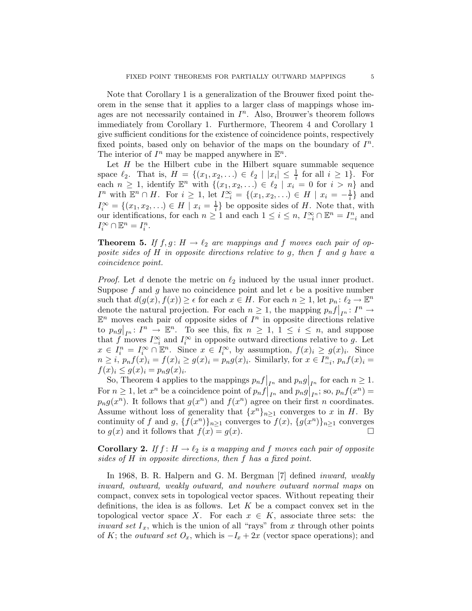Note that Corollary 1 is a generalization of the Brouwer fixed point theorem in the sense that it applies to a larger class of mappings whose images are not necessarily contained in  $I<sup>n</sup>$ . Also, Brouwer's theorem follows immediately from Corollary 1. Furthermore, Theorem 4 and Corollary 1 give sufficient conditions for the existence of coincidence points, respectively fixed points, based only on behavior of the maps on the boundary of  $I<sup>n</sup>$ . The interior of  $I^n$  may be mapped anywhere in  $\mathbb{E}^n$ .

Let  $H$  be the Hilbert cube in the Hilbert square summable sequence space  $\ell_2$ . That is,  $H = \{(x_1, x_2, \ldots) \in \ell_2 \mid |x_i| \leq \frac{1}{i} \text{ for all } i \geq 1\}.$  For each  $n \geq 1$ , identify  $\mathbb{E}^n$  with  $\{(x_1, x_2, \ldots) \in \ell_2 \mid x_i = 0 \text{ for } i > n\}$  and *I*<sup>n</sup> with  $\mathbb{E}^n \cap H$ . For *i* ≥ 1, let  $I_{-i}^{\infty} = \{(x_1, x_2, ...) \in H \mid x_i = -\frac{1}{i}\}\$ and  $I_i^{\infty} = \{(x_1, x_2, \ldots) \in H \mid x_i = \frac{1}{i}\}\$ be opposite sides of H. Note that, with our identifications, for each  $n \geq 1$  and each  $1 \leq i \leq n$ ,  $I_{-i}^{\infty} \cap \mathbb{E}^{n} = I_{-i}^{n}$  and  $I_i^{\infty} \cap \mathbb{E}^n = I_i^n$ .

**Theorem 5.** If  $f, g: H \to \ell_2$  are mappings and f moves each pair of opposite sides of H in opposite directions relative to g, then f and g have a coincidence point.

*Proof.* Let d denote the metric on  $\ell_2$  induced by the usual inner product. Suppose f and g have no coincidence point and let  $\epsilon$  be a positive number such that  $d(g(x), f(x)) \geq \epsilon$  for each  $x \in H$ . For each  $n \geq 1$ , let  $p_n: \ell_2 \to \mathbb{E}^n$ denote the natural projection. For each  $n \geq 1$ , the mapping  $p_n f|_{I^n} : I^n \to \mathbb{R}^n$  $\mathbb{E}^n$  moves each pair of opposite sides of  $I^n$  in opposite directions relative to  $p_n g|_{I^n}: I^n \to \mathbb{E}^n$ . To see this, fix  $n \geq 1, 1 \leq i \leq n$ , and suppose to  $p_n g|_{I^n}$ .  $I \to \mathbb{R}$ . To see this, if  $n \geq 1$ ,  $1 \leq i \leq n$ , and suppose that f moves  $I_{-i}^{\infty}$  and  $I_i^{\infty}$  in opposite outward directions relative to g. Let  $x \in I_i^n = I_i^{\infty} \cap \mathbb{E}^n$ . Since  $x \in I_i^{\infty}$ , by assumption,  $f(x)_i \ge g(x)_i$ . Since  $n \geq i$ ,  $p_n f(x)_i = f(x)_i \geq g(x)_i = p_n g(x)_i$ . Similarly, for  $x \in I_{-i}^n$ ,  $p_n f(x)_i =$  $f(x)_i \leq g(x)_i = p_n g(x)_i.$ 

So, Theorem 4 applies to the mappings  $p_n f|_{I^n}$  and  $p_n g|_{I^n}$  for each  $n \geq 1$ . For  $n \geq 1$ , let  $x^n$  be a coincidence point of  $p_n f|_{I^n}$  and  $p_n g|_{I^n}$ ; so,  $p_n f(x^n) =$  $p_n g(x^n)$ . It follows that  $g(x^n)$  and  $f(x^n)$  agree on their first n coordinates. Assume without loss of generality that  $\{x^n\}_{n\geq 1}$  converges to x in H. By continuity of f and g,  $\{f(x^n)\}_{n\geq 1}$  converges to  $f(x)$ ,  $\{g(x^n)\}_{n\geq 1}$  converges to  $g(x)$  and it follows that  $f(x) = g(x)$ .

**Corollary 2.** If  $f : H \to \ell_2$  is a mapping and f moves each pair of opposite sides of H in opposite directions, then f has a fixed point.

In 1968, B. R. Halpern and G. M. Bergman [7] defined *inward*, *weakly* inward, outward, weakly outward, and nowhere outward normal maps on compact, convex sets in topological vector spaces. Without repeating their definitions, the idea is as follows. Let  $K$  be a compact convex set in the topological vector space X. For each  $x \in K$ , associate three sets: the inward set  $I_x$ , which is the union of all "rays" from x through other points of K; the *outward set*  $O_x$ , which is  $-I_x + 2x$  (vector space operations); and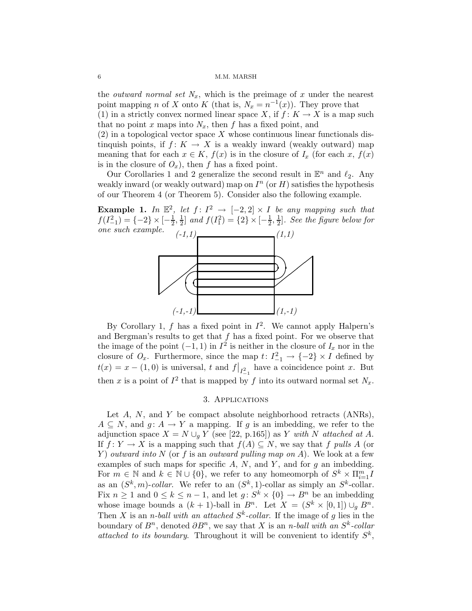the *outward normal set*  $N_x$ , which is the preimage of x under the nearest point mapping *n* of *X* onto *K* (that is,  $N_x = n^{-1}(x)$ ). They prove that

(1) in a strictly convex normed linear space X, if  $f: K \to X$  is a map such that no point x maps into  $N_x$ , then f has a fixed point, and

 $(2)$  in a topological vector space X whose continuous linear functionals distinquish points, if  $f: K \to X$  is a weakly inward (weakly outward) map meaning that for each  $x \in K$ ,  $f(x)$  is in the closure of  $I_x$  (for each x,  $f(x)$ ) is in the closure of  $O_x$ ), then f has a fixed point.

Our Corollaries 1 and 2 generalize the second result in  $\mathbb{E}^n$  and  $\ell_2$ . Any weakly inward (or weakly outward) map on  $I<sup>n</sup>$  (or H) satisfies the hypothesis of our Theorem 4 (or Theorem 5). Consider also the following example.

**Example 1.** In  $\mathbb{E}^2$ , let  $f: I^2 \to [-2,2] \times I$  be any mapping such that  $f(I_{-1}^2) = \{-2\} \times [-\frac{1}{2}]$  $\frac{1}{2}, \frac{1}{2}$  $\frac{1}{2}$ ] and  $f(I_1^2) = \{2\} \times [-\frac{1}{2}]$  $\frac{1}{2}, \frac{1}{2}$  $\frac{1}{2}$ . See the figure below for one such example.  $(-1,1)$ 



By Corollary 1, f has a fixed point in  $I^2$ . We cannot apply Halpern's and Bergman's results to get that  $f$  has a fixed point. For we observe that the image of the point  $(-1,1)$  in  $I^2$  is neither in the closure of  $I_x$  nor in the closure of  $O_x$ . Furthermore, since the map  $t: I_{-1}^2 \to \{-2\} \times I$  defined by  $t(x) = x - (1,0)$  is universal, t and  $f|_{I_{-1}^2}$  have a coincidence point x. But then x is a point of  $I^2$  that is mapped by f into its outward normal set  $N_x$ .

# 3. Applications

Let  $A$ ,  $N$ , and  $Y$  be compact absolute neighborhood retracts  $(ANSs)$ ,  $A \subseteq N$ , and  $g: A \to Y$  a mapping. If g is an imbedding, we refer to the adjunction space  $X = N \cup_q Y$  (see [22, p.165]) as Y with N attached at A. If  $f: Y \to X$  is a mapping such that  $f(A) \subseteq N$ , we say that f pulls A (or Y) outward into N (or f is an outward pulling map on A). We look at a few examples of such maps for specific  $A$ ,  $N$ , and  $Y$ , and for  $g$  an imbedding. For  $m \in \mathbb{N}$  and  $k \in \mathbb{N} \cup \{0\}$ , we refer to any homeomorph of  $S^k \times \prod_{i=1}^m I$ as an  $(S^k, m)$ -collar. We refer to an  $(S^k, 1)$ -collar as simply an  $S^k$ -collar. Fix  $n \geq 1$  and  $0 \leq k \leq n-1$ , and let  $g: S^k \times \{0\} \to B^n$  be an imbedding whose image bounds a  $(k + 1)$ -ball in  $B<sup>n</sup>$ . Let  $X = (S<sup>k</sup> \times [0, 1]) \cup_{g} B<sup>n</sup>$ . Then X is an *n*-ball with an attached  $S<sup>k</sup>$ -collar. If the image of g lies in the boundary of  $B^n$ , denoted  $\partial B^n$ , we say that X is an *n*-ball with an  $S^k$ -collar attached to its boundary. Throughout it will be convenient to identify  $S^k$ ,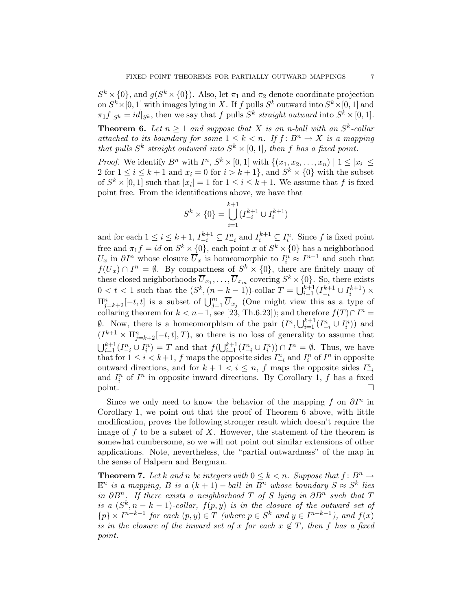$S^k \times \{0\}$ , and  $g(S^k \times \{0\})$ . Also, let  $\pi_1$  and  $\pi_2$  denote coordinate projection on  $S^k \times [0, 1]$  with images lying in X. If f pulls  $S^k$  outward into  $S^k \times [0, 1]$  and  $\pi_1 f|_{S^k} = id|_{S^k}$ , then we say that f pulls  $S^k$  straight outward into  $S^k \times [0, 1]$ .

**Theorem 6.** Let  $n \geq 1$  and suppose that X is an n-ball with an  $S^k$ -collar attached to its boundary for some  $1 \leq k < n$ . If  $f : B<sup>n</sup> \to X$  is a mapping that pulls  $S^k$  straight outward into  $S^k \times [0,1]$ , then f has a fixed point.

*Proof.* We identify  $B^n$  with  $I^n$ ,  $S^k \times [0,1]$  with  $\{(x_1, x_2, \ldots, x_n) \mid 1 \leq |x_i| \leq$ 2 for  $1 \leq i \leq k+1$  and  $x_i = 0$  for  $i > k+1$ , and  $S^k \times \{0\}$  with the subset of  $S^k \times [0,1]$  such that  $|x_i|=1$  for  $1 \leq i \leq k+1$ . We assume that f is fixed point free. From the identifications above, we have that

$$
S^k \times \{0\} = \bigcup_{i=1}^{k+1} (I_{-i}^{k+1} \cup I_i^{k+1})
$$

and for each  $1 \leq i \leq k+1$ ,  $I_{-i}^{k+1} \subseteq I_{-i}^n$  and  $I_i^{k+1} \subseteq I_i^n$ . Since f is fixed point free and  $\pi_1 f = id$  on  $S^k \times \{0\}$ , each point x of  $S^k \times \{0\}$  has a neighborhood  $U_x$  in  $\partial I^n$  whose closure  $\overline{U}_x$  is homeomorphic to  $I_i^n \approx I^{n-1}$  and such that  $f(\overline{U}_x) \cap I^n = \emptyset$ . By compactness of  $S^k \times \{0\}$ , there are finitely many of these closed neighborhoods  $\overline{U}_{x_1}, \ldots, \overline{U}_{x_m}$  covering  $S^k \times \{0\}$ . So, there exists  $0 < t < 1$  such that the  $(S^k, (n - k - 1))$ -collar  $T = \bigcup_{i=1}^{k+1} (I_{-i}^{k+1} \cup I_i^{k+1}) \times$  $\Pi_{j=k+2}^{n}[-t,t]$  is a subset of  $\bigcup_{j=1}^{m} \overline{U}_{x_j}$  (One might view this as a type of collaring theorem for  $k < n-1$ , see [23, Th.6.23]); and therefore  $f(T) \cap I^n =$  $\emptyset$ . Now, there is a homeomorphism of the pair  $(I^n, \bigcup_{i=1}^{k+1} (I_{-i}^n \cup I_i^n))$  and  $(I^{k+1} \times \Pi_{j=k+2}^n[-t,t],T)$ , so there is no loss of generality to assume that  $\bigcup_{i=1}^{k+1} (I_{-i}^n \cup I_i^n) = T$  and that  $f(\bigcup_{i=1}^{k+1} (I_{-i}^n \cup I_i^n)) \cap I^n = \emptyset$ . Thus, we have that for  $1 \leq i < k+1$ , f maps the opposite sides  $I_{-i}^n$  and  $I_i^n$  of  $I^n$  in opposite outward directions, and for  $k + 1 < i \leq n$ , f maps the opposite sides  $I_{-i}^n$ and  $I_i^n$  of  $I^n$  in opposite inward directions. By Corollary 1, f has a fixed  $point.$ 

Since we only need to know the behavior of the mapping f on  $\partial I^n$  in Corollary 1, we point out that the proof of Theorem 6 above, with little modification, proves the following stronger result which doesn't require the image of  $f$  to be a subset of  $X$ . However, the statement of the theorem is somewhat cumbersome, so we will not point out similar extensions of other applications. Note, nevertheless, the "partial outwardness" of the map in the sense of Halpern and Bergman.

**Theorem 7.** Let k and n be integers with  $0 \leq k \leq n$ . Suppose that  $f: B^n \to$  $\mathbb{E}^n$  is a mapping, B is a  $(k+1)$  – ball in  $B^n$  whose boundary  $S \approx S^k$  lies in  $\partial B^n$ . If there exists a neighborhood T of S lying in  $\partial B^n$  such that T is a  $(S^k, n-k-1)$ -collar,  $f(p, y)$  is in the closure of the outward set of  $\{p\} \times I^{n-k-1}$  for each  $(p, y) \in T$  (where  $p \in S^k$  and  $y \in I^{n-k-1}$ ), and  $f(x)$ is in the closure of the inward set of x for each  $x \notin T$ , then f has a fixed point.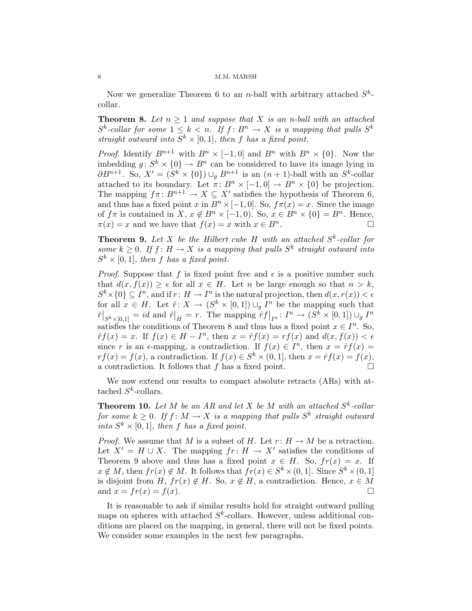Now we generalize Theorem 6 to an *n*-ball with arbitrary attached  $S^k$ collar.

**Theorem 8.** Let  $n > 1$  and suppose that X is an n-ball with an attached  $S^k$ -collar for some  $1 \leq k < n$ . If  $f: B^n \to X$  is a mapping that pulls  $S^k$ straight outward into  $S^k \times [0,1]$ , then f has a fixed point.

*Proof.* Identify  $B^{n+1}$  with  $B^n \times [-1,0]$  and  $B^n$  with  $B^n \times \{0\}$ . Now the imbedding  $g: S^k \times \{0\} \to B^n$  can be considered to have its image lying in  $\partial B^{n+1}$ . So,  $X' = (S^k \times \{0\}) \cup_g B^{n+1}$  is an  $(n+1)$ -ball with an  $S^k$ -collar attached to its boundary. Let  $\pi: B^n \times [-1,0] \to B^n \times \{0\}$  be projection. The mapping  $f\pi: B^{n+1} \to X \subseteq X'$  satisfies the hypothesis of Theorem 6, and thus has a fixed point x in  $B<sup>n</sup> \times [-1, 0]$ . So,  $f\pi(x) = x$ . Since the image of  $f\pi$  is contained in  $X, x \notin B^n \times [-1,0)$ . So,  $x \in B^n \times \{0\} = B^n$ . Hence,  $\pi(x) = x$  and we have that  $f(x) = x$  with  $x \in B^n$ .

**Theorem 9.** Let X be the Hilbert cube H with an attached  $S^k$ -collar for some  $k \geq 0$ . If  $f: H \to X$  is a mapping that pulls  $S^k$  straight outward into  $S^k \times [0,1]$ , then f has a fixed point.

*Proof.* Suppose that f is fixed point free and  $\epsilon$  is a positive number such that  $d(x, f(x)) \geq \epsilon$  for all  $x \in H$ . Let n be large enough so that  $n > k$ ,  $S^k \times \{0\} \subseteq I^n$ , and if  $r: H \to I^n$  is the natural projection, then  $d(x, r(x)) < \epsilon$ for all  $x \in H$ . Let  $\hat{r} \colon X \to (S^k \times [0,1]) \cup_g I^n$  be the mapping such that  $\hat{r}|_{S^k \times [0,1]} = id$  and  $\hat{r}|_H = r$ . The mapping  $\hat{r}f|_{I^n} : I^n \to (S^k \times [0,1]) \cup_g I^n$ satisfies the conditions of Theorem 8 and thus has a fixed point  $x \in I<sup>n</sup>$ . So,  $\hat{r}f(x) = x$ . If  $f(x) \in H - I^n$ , then  $x = \hat{r}f(x) = rf(x)$  and  $d(x, f(x)) < \epsilon$ since r is an  $\epsilon$ -mapping, a contradiction. If  $f(x) \in I^n$ , then  $x = \hat{r}f(x) =$  $rf(x) = f(x)$ , a contradiction. If  $f(x) \in S^k \times (0, 1]$ , then  $x = \hat{r}f(x) = f(x)$ , a contradiction. It follows that f has a fixed point.

We now extend our results to compact absolute retracts (ARs) with attached  $S^k$ -collars.

**Theorem 10.** Let M be an AR and let X be M with an attached  $S^k$ -collar for some  $k \geq 0$ . If  $f \colon M \to X$  is a mapping that pulls  $S^k$  straight outward into  $S^k \times [0,1]$ , then f has a fixed point.

*Proof.* We assume that M is a subset of H. Let  $r: H \to M$  be a retraction. Let  $X' = H \cup X$ . The mapping  $fr: H \to X'$  satisfies the conditions of Theorem 9 above and thus has a fixed point  $x \in H$ . So,  $fr(x) = x$ . If  $x \notin M$ , then  $fr(x) \notin M$ . It follows that  $fr(x) \in S^k \times (0,1]$ . Since  $S^k \times (0,1]$ is disjoint from H,  $fr(x) \notin H$ . So,  $x \notin H$ , a contradiction. Hence,  $x \in M$ and  $x = fr(x) = f(x)$ .

It is reasonable to ask if similar results hold for straight outward pulling maps on spheres with attached  $S<sup>k</sup>$ -collars. However, unless additional conditions are placed on the mapping, in general, there will not be fixed points. We consider some examples in the next few paragraphs.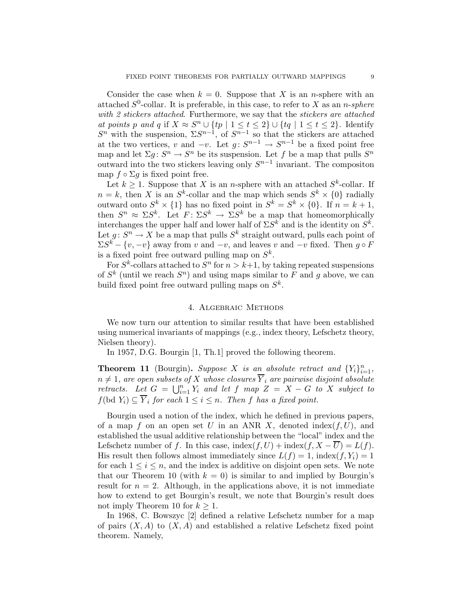Consider the case when  $k = 0$ . Suppose that X is an *n*-sphere with an attached  $S^0$ -collar. It is preferable, in this case, to refer to X as an *n-sphere* with 2 stickers attached. Furthermore, we say that the stickers are attached at points p and q if  $X \approx S^n \cup \{tp \mid 1 \le t \le 2\} \cup \{tq \mid 1 \le t \le 2\}$ . Identify  $S<sup>n</sup>$  with the suspension,  $\Sigma S^{n-1}$ , of  $S^{n-1}$  so that the stickers are attached at the two vertices, v and  $-v$ . Let  $g: S^{n-1} \to S^{n-1}$  be a fixed point free map and let  $\Sigma g: S^n \to S^n$  be its suspension. Let f be a map that pulls  $S^n$ outward into the two stickers leaving only  $S^{n-1}$  invariant. The compositon map  $f \circ \Sigma g$  is fixed point free.

Let  $k \geq 1$ . Suppose that X is an *n*-sphere with an attached  $S^k$ -collar. If  $n = k$ , then X is an  $S^k$ -collar and the map which sends  $S^k \times \{0\}$  radially outward onto  $S^k \times \{1\}$  has no fixed point in  $S^k = S^k \times \{0\}$ . If  $n = k + 1$ , then  $S^n \approx \Sigma S^k$ . Let  $F: \Sigma S^k \to \Sigma S^k$  be a map that homeomorphically interchanges the upper half and lower half of  $\Sigma S^k$  and is the identity on  $S^k$ . Let  $g: S^n \to X$  be a map that pulls  $S^k$  straight outward, pulls each point of  $\Sigma S^k - \{v, -v\}$  away from v and  $-v$ , and leaves v and  $-v$  fixed. Then  $g \circ F$ is a fixed point free outward pulling map on  $S^k$ .

For  $S^k$ -collars attached to  $S^n$  for  $n > k+1$ , by taking repeated suspensions of  $S^k$  (until we reach  $S^n$ ) and using maps similar to F and g above, we can build fixed point free outward pulling maps on  $S^k$ .

# 4. Algebraic Methods

We now turn our attention to similar results that have been established using numerical invariants of mappings (e.g., index theory, Lefschetz theory, Nielsen theory).

In 1957, D.G. Bourgin [1, Th.1] proved the following theorem.

**Theorem 11** (Bourgin). Suppose X is an absolute retract and  $\{Y_i\}_{i=1}^n$ ,  $n \neq 1$ , are open subsets of X whose closures  $\overline{Y}_i$  are pairwise disjoint absolute retracts. Let  $G = \bigcup_{i=1}^n Y_i$  and let f map  $Z = X - G$  to X subject to  $f(\mathrm{bd}\ Y_i)\subseteq Y_i$  for each  $1\leq i\leq n$ . Then f has a fixed point.

Bourgin used a notion of the index, which he defined in previous papers, of a map f on an open set U in an ANR X, denoted index(f, U), and established the usual additive relationship between the "local" index and the Lefschetz number of f. In this case, index $(f, U)$  + index $(f, X - \overline{U}) = L(f)$ . His result then follows almost immediately since  $L(f) = 1$ , index $(f, Y_i) = 1$ for each  $1 \leq i \leq n$ , and the index is additive on disjoint open sets. We note that our Theorem 10 (with  $k = 0$ ) is similar to and implied by Bourgin's result for  $n = 2$ . Although, in the applications above, it is not immediate how to extend to get Bourgin's result, we note that Bourgin's result does not imply Theorem 10 for  $k \geq 1$ .

In 1968, C. Bowszyc [2] defined a relative Lefschetz number for a map of pairs  $(X, A)$  to  $(X, A)$  and established a relative Lefschetz fixed point theorem. Namely,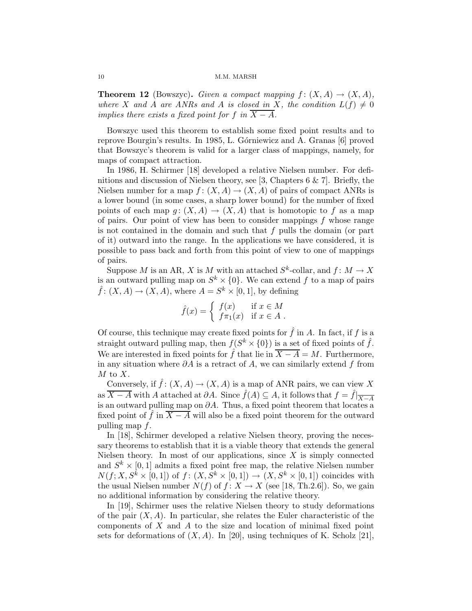**Theorem 12** (Bowszyc). Given a compact mapping  $f : (X, A) \rightarrow (X, A)$ , where X and A are ANRs and A is closed in X, the condition  $L(f) \neq 0$ implies there exists a fixed point for f in  $\overline{X - A}$ .

Bowszyc used this theorem to establish some fixed point results and to reprove Bourgin's results. In 1985, L. Górniewicz and A. Granas [6] proved that Bowszyc's theorem is valid for a larger class of mappings, namely, for maps of compact attraction.

In 1986, H. Schirmer [18] developed a relative Nielsen number. For definitions and discussion of Nielsen theory, see [3, Chapters 6 & 7]. Briefly, the Nielsen number for a map  $f: (X, A) \to (X, A)$  of pairs of compact ANRs is a lower bound (in some cases, a sharp lower bound) for the number of fixed points of each map  $g: (X, A) \to (X, A)$  that is homotopic to f as a map of pairs. Our point of view has been to consider mappings  $f$  whose range is not contained in the domain and such that f pulls the domain (or part of it) outward into the range. In the applications we have considered, it is possible to pass back and forth from this point of view to one of mappings of pairs.

Suppose M is an AR, X is M with an attached  $S^k$ -collar, and  $f: M \to X$ is an outward pulling map on  $S^k \times \{0\}$ . We can extend f to a map of pairs  $\hat{f}$ :  $(X, A) \rightarrow (X, A)$ , where  $A = S^k \times [0, 1]$ , by defining

$$
\hat{f}(x) = \begin{cases} f(x) & \text{if } x \in M \\ f\pi_1(x) & \text{if } x \in A \end{cases}.
$$

Of course, this technique may create fixed points for  $\hat{f}$  in A. In fact, if f is a straight outward pulling map, then  $f(S^k \times \{0\})$  is a set of fixed points of  $\hat{f}$ . We are interested in fixed points for  $\hat{f}$  that lie in  $\overline{X - A} = M$ . Furthermore, in any situation where  $\partial A$  is a retract of A, we can similarly extend f from  $M$  to  $X$ .

Conversely, if  $\hat{f}$ :  $(X, A) \rightarrow (X, A)$  is a map of ANR pairs, we can view X as  $\overline{X-A}$  with A attached at  $\partial A$ . Since  $\hat{f}(A) \subseteq A$ , it follows that  $f = \hat{f}|_{\overline{X-A}}$ is an outward pulling map on  $\partial A$ . Thus, a fixed point theorem that locates a fixed point of f in  $\overline{X - A}$  will also be a fixed point theorem for the outward pulling map f.

In [18], Schirmer developed a relative Nielsen theory, proving the necessary theorems to establish that it is a viable theory that extends the general Nielsen theory. In most of our applications, since  $X$  is simply connected and  $S^k \times [0,1]$  admits a fixed point free map, the relative Nielsen number  $N(f; X, S^k \times [0, 1])$  of  $f: (X, S^k \times [0, 1]) \to (X, S^k \times [0, 1])$  coincides with the usual Nielsen number  $N(f)$  of  $f: X \to X$  (see [18, Th.2.6]). So, we gain no additional information by considering the relative theory.

In [19], Schirmer uses the relative Nielsen theory to study deformations of the pair  $(X, A)$ . In particular, she relates the Euler characteristic of the components of  $X$  and  $A$  to the size and location of minimal fixed point sets for deformations of  $(X, A)$ . In [20], using techniques of K. Scholz [21],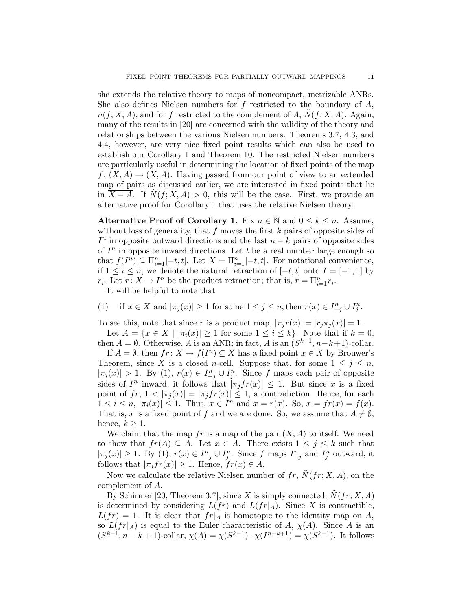she extends the relative theory to maps of noncompact, metrizable ANRs. She also defines Nielsen numbers for f restricted to the boundary of  $A$ ,  $\tilde{n}(f; X, A)$ , and for f restricted to the complement of A,  $N(f; X, A)$ . Again, many of the results in [20] are concerned with the validity of the theory and relationships between the various Nielsen numbers. Theorems 3.7, 4.3, and 4.4, however, are very nice fixed point results which can also be used to establish our Corollary 1 and Theorem 10. The restricted Nielsen numbers are particularly useful in determining the location of fixed points of the map  $f: (X, A) \to (X, A)$ . Having passed from our point of view to an extended map of pairs as discussed earlier, we are interested in fixed points that lie in  $\overline{X - A}$ . If  $N(f; X, A) > 0$ , this will be the case. First, we provide an alternative proof for Corollary 1 that uses the relative Nielsen theory.

Alternative Proof of Corollary 1. Fix  $n \in \mathbb{N}$  and  $0 \leq k \leq n$ . Assume, without loss of generality, that  $f$  moves the first  $k$  pairs of opposite sides of  $I<sup>n</sup>$  in opposite outward directions and the last  $n - k$  pairs of opposite sides of  $I<sup>n</sup>$  in opposite inward directions. Let t be a real number large enough so that  $f(I^n) \subseteq \prod_{i=1}^n [-t, t]$ . Let  $X = \prod_{i=1}^n [-t, t]$ . For notational convenience, if  $1 \leq i \leq n$ , we denote the natural retraction of  $[-t, t]$  onto  $I = [-1, 1]$  by  $r_i$ . Let  $r: X \to I^n$  be the product retraction; that is,  $r = \prod_{i=1}^n r_i$ .

It will be helpful to note that

(1) if  $x \in X$  and  $|\pi_j(x)| \ge 1$  for some  $1 \le j \le n$ , then  $r(x) \in I_{-j}^n \cup I_j^n$ .

To see this, note that since r is a product map,  $|\pi_j r(x)| = |r_j \pi_j(x)| = 1$ .

Let  $A = \{x \in X \mid |\pi_i(x)| \geq 1 \text{ for some } 1 \leq i \leq k\}.$  Note that if  $k = 0$ , then  $A = \emptyset$ . Otherwise, A is an ANR; in fact, A is an  $(S^{k-1}, n-k+1)$ -collar.

If  $A = \emptyset$ , then  $fr: X \to f(I^n) \subseteq X$  has a fixed point  $x \in X$  by Brouwer's Theorem, since X is a closed n-cell. Suppose that, for some  $1 \leq j \leq n$ ,  $|\pi_j(x)| > 1$ . By  $(1), r(x) \in I_{-j}^n \cup I_j^n$ . Since f maps each pair of opposite sides of  $I^n$  inward, it follows that  $|\pi_j fr(x)| \leq 1$ . But since x is a fixed point of  $fr, 1 < |\pi_i(x)| = |\pi_i fr(x)| \leq 1$ , a contradiction. Hence, for each  $1 \leq i \leq n, |\pi_i(x)| \leq 1$ . Thus,  $x \in I^n$  and  $x = r(x)$ . So,  $x = fr(x) = f(x)$ . That is, x is a fixed point of f and we are done. So, we assume that  $A \neq \emptyset$ ; hence,  $k \geq 1$ .

We claim that the map  $fr$  is a map of the pair  $(X, A)$  to itself. We need to show that  $fr(A) \subseteq A$ . Let  $x \in A$ . There exists  $1 \leq j \leq k$  such that  $|\pi_j(x)| \geq 1$ . By  $(1), r(x) \in I_{-j}^n \cup I_j^n$ . Since f maps  $I_{-j}^n$  and  $I_j^n$  outward, it follows that  $|\pi_j fr(x)| \geq 1$ . Hence,  $fr(x) \in A$ .

Now we calculate the relative Nielsen number of  $fr, N(fr; X, A)$ , on the complement of A.

By Schirmer [20, Theorem 3.7], since X is simply connected,  $\tilde{N}(fr; X, A)$ is determined by considering  $L(fr)$  and  $L(fr|_A)$ . Since X is contractible,  $L(fr) = 1$ . It is clear that  $fr|_A$  is homotopic to the identity map on A, so  $L(fr|_A)$  is equal to the Euler characteristic of A,  $\chi(A)$ . Since A is an  $(S^{k-1}, n-k+1)$ -collar,  $\chi(A) = \chi(S^{k-1}) \cdot \chi(I^{n-k+1}) = \chi(S^{k-1})$ . It follows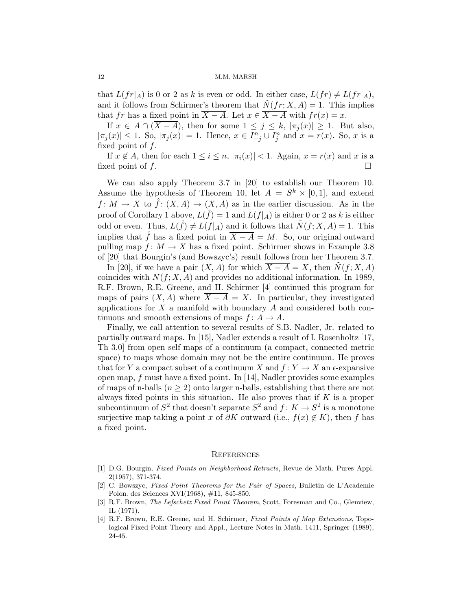that  $L(fr|_A)$  is 0 or 2 as k is even or odd. In either case,  $L(fr) \neq L(fr|_A)$ , and it follows from Schirmer's theorem that  $N(fr; X, A) = 1$ . This implies that fr has a fixed point in  $\overline{X - A}$ . Let  $x \in \overline{X - A}$  with  $fr(x) = x$ .

If  $x \in A \cap (\overline{X-A})$ , then for some  $1 \leq j \leq k$ ,  $|\pi_j(x)| \geq 1$ . But also,  $|\pi_j(x)| \leq 1$ . So,  $|\pi_j(x)| = 1$ . Hence,  $x \in I_{-j}^n \cup I_j^n$  and  $x = r(x)$ . So, x is a fixed point of f.

If  $x \notin A$ , then for each  $1 \leq i \leq n$ ,  $|\pi_i(x)| < 1$ . Again,  $x = r(x)$  and x is a fixed point of f.

We can also apply Theorem 3.7 in [20] to establish our Theorem 10. Assume the hypothesis of Theorem 10, let  $A = S^k \times [0,1]$ , and extend  $f: M \to X$  to  $\hat{f}: (X, A) \to (X, A)$  as in the earlier discussion. As in the proof of Corollary 1 above,  $L(\hat{f}) = 1$  and  $L(f|_A)$  is either 0 or 2 as k is either odd or even. Thus,  $L(\hat{f}) \neq L(f|_A)$  and it follows that  $\tilde{N}(f; X, A) = 1$ . This implies that  $\hat{f}$  has a fixed point in  $\overline{X - A} = M$ . So, our original outward pulling map  $f: M \to X$  has a fixed point. Schirmer shows in Example 3.8 of [20] that Bourgin's (and Bowszyc's) result follows from her Theorem 3.7.

In [20], if we have a pair  $(X, A)$  for which  $\overline{X - A} = X$ , then  $\overline{N}(f; X, A)$ coincides with  $N(f; X, A)$  and provides no additional information. In 1989, R.F. Brown, R.E. Greene, and H. Schirmer [4] continued this program for maps of pairs  $(X, A)$  where  $\overline{X - A} = X$ . In particular, they investigated applications for  $X$  a manifold with boundary  $A$  and considered both continuous and smooth extensions of maps  $f: A \to A$ .

Finally, we call attention to several results of S.B. Nadler, Jr. related to partially outward maps. In [15], Nadler extends a result of I. Rosenholtz [17, Th 3.0] from open self maps of a continuum (a compact, connected metric space) to maps whose domain may not be the entire continuum. He proves that for Y a compact subset of a continuum X and  $f: Y \to X$  an  $\epsilon$ -expansive open map, f must have a fixed point. In [14], Nadler provides some examples of maps of n-balls ( $n \geq 2$ ) onto larger n-balls, establishing that there are not always fixed points in this situation. He also proves that if  $K$  is a proper subcontinuum of  $S^2$  that doesn't separate  $S^2$  and  $f: K \to S^2$  is a monotone surjective map taking a point x of  $\partial K$  outward (i.e.,  $f(x) \notin K$ ), then f has a fixed point.

### **REFERENCES**

- [1] D.G. Bourgin, Fixed Points on Neighborhood Retracts, Revue de Math. Pures Appl. 2(1957), 371-374.
- [2] C. Bowszyc, Fixed Point Theorems for the Pair of Spaces, Bulletin de L'Academie Polon. des Sciences XVI(1968), #11, 845-850.
- [3] R.F. Brown, The Lefschetz Fixed Point Theorem, Scott, Foresman and Co., Glenview, IL (1971).
- [4] R.F. Brown, R.E. Greene, and H. Schirmer, Fixed Points of Map Extensions, Topological Fixed Point Theory and Appl., Lecture Notes in Math. 1411, Springer (1989), 24-45.